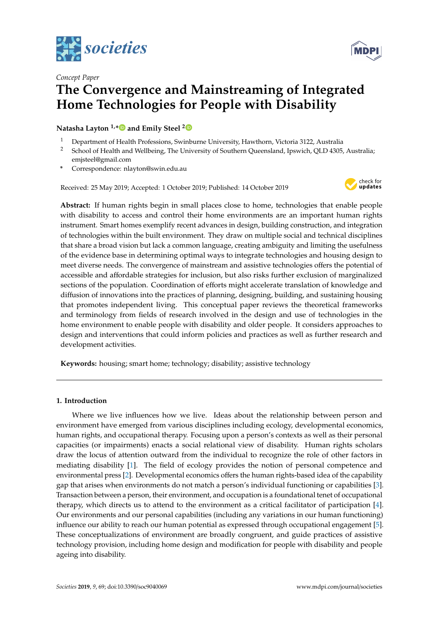



# *Concept Paper* **The Convergence and Mainstreaming of Integrated Home Technologies for People with Disability**

**Natasha Layton 1,[\\*](https://orcid.org/0000-0002-3213-8069) and Emily Steel [2](https://orcid.org/0000-0003-4124-3351)**

- <sup>1</sup> Department of Health Professions, Swinburne University, Hawthorn, Victoria 3122, Australia<br><sup>2</sup> School of Health and Wellbeing. The University of Southern Queensland, Insurish, QLD 4205
- <sup>2</sup> School of Health and Wellbeing, The University of Southern Queensland, Ipswich, QLD 4305, Australia; emjsteel@gmail.com
- **\*** Correspondence: nlayton@swin.edu.au

Received: 25 May 2019; Accepted: 1 October 2019; Published: 14 October 2019



**Abstract:** If human rights begin in small places close to home, technologies that enable people with disability to access and control their home environments are an important human rights instrument. Smart homes exemplify recent advances in design, building construction, and integration of technologies within the built environment. They draw on multiple social and technical disciplines that share a broad vision but lack a common language, creating ambiguity and limiting the usefulness of the evidence base in determining optimal ways to integrate technologies and housing design to meet diverse needs. The convergence of mainstream and assistive technologies offers the potential of accessible and affordable strategies for inclusion, but also risks further exclusion of marginalized sections of the population. Coordination of efforts might accelerate translation of knowledge and diffusion of innovations into the practices of planning, designing, building, and sustaining housing that promotes independent living. This conceptual paper reviews the theoretical frameworks and terminology from fields of research involved in the design and use of technologies in the home environment to enable people with disability and older people. It considers approaches to design and interventions that could inform policies and practices as well as further research and development activities.

**Keywords:** housing; smart home; technology; disability; assistive technology

## **1. Introduction**

Where we live influences how we live. Ideas about the relationship between person and environment have emerged from various disciplines including ecology, developmental economics, human rights, and occupational therapy. Focusing upon a person's contexts as well as their personal capacities (or impairments) enacts a social relational view of disability. Human rights scholars draw the locus of attention outward from the individual to recognize the role of other factors in mediating disability [\[1\]](#page-7-0). The field of ecology provides the notion of personal competence and environmental press [\[2\]](#page-7-1). Developmental economics offers the human rights-based idea of the capability gap that arises when environments do not match a person's individual functioning or capabilities [\[3\]](#page-7-2). Transaction between a person, their environment, and occupation is a foundational tenet of occupational therapy, which directs us to attend to the environment as a critical facilitator of participation [\[4\]](#page-7-3). Our environments and our personal capabilities (including any variations in our human functioning) influence our ability to reach our human potential as expressed through occupational engagement [\[5\]](#page-7-4). These conceptualizations of environment are broadly congruent, and guide practices of assistive technology provision, including home design and modification for people with disability and people ageing into disability.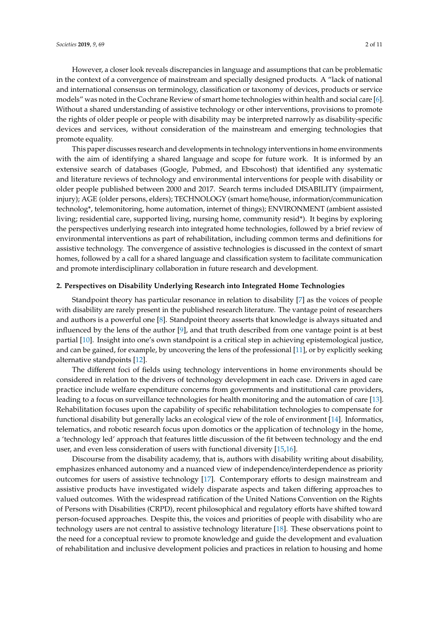However, a closer look reveals discrepancies in language and assumptions that can be problematic in the context of a convergence of mainstream and specially designed products. A "lack of national and international consensus on terminology, classification or taxonomy of devices, products or service models" was noted in the Cochrane Review of smart home technologies within health and social care [\[6\]](#page-7-5). Without a shared understanding of assistive technology or other interventions, provisions to promote the rights of older people or people with disability may be interpreted narrowly as disability-specific devices and services, without consideration of the mainstream and emerging technologies that promote equality.

This paper discusses research and developments in technology interventions in home environments with the aim of identifying a shared language and scope for future work. It is informed by an extensive search of databases (Google, Pubmed, and Ebscohost) that identified any systematic and literature reviews of technology and environmental interventions for people with disability or older people published between 2000 and 2017. Search terms included DISABILITY (impairment, injury); AGE (older persons, elders); TECHNOLOGY (smart home/house, information/communication technolog\*, telemonitoring, home automation, internet of things); ENVIRONMENT (ambient assisted living; residential care, supported living, nursing home, community resid\*). It begins by exploring the perspectives underlying research into integrated home technologies, followed by a brief review of environmental interventions as part of rehabilitation, including common terms and definitions for assistive technology. The convergence of assistive technologies is discussed in the context of smart homes, followed by a call for a shared language and classification system to facilitate communication and promote interdisciplinary collaboration in future research and development.

## **2. Perspectives on Disability Underlying Research into Integrated Home Technologies**

Standpoint theory has particular resonance in relation to disability [\[7\]](#page-7-6) as the voices of people with disability are rarely present in the published research literature. The vantage point of researchers and authors is a powerful one [\[8\]](#page-7-7). Standpoint theory asserts that knowledge is always situated and influenced by the lens of the author [\[9\]](#page-8-0), and that truth described from one vantage point is at best partial [\[10\]](#page-8-1). Insight into one's own standpoint is a critical step in achieving epistemological justice, and can be gained, for example, by uncovering the lens of the professional [\[11\]](#page-8-2), or by explicitly seeking alternative standpoints [\[12\]](#page-8-3).

The different foci of fields using technology interventions in home environments should be considered in relation to the drivers of technology development in each case. Drivers in aged care practice include welfare expenditure concerns from governments and institutional care providers, leading to a focus on surveillance technologies for health monitoring and the automation of care [\[13\]](#page-8-4). Rehabilitation focuses upon the capability of specific rehabilitation technologies to compensate for functional disability but generally lacks an ecological view of the role of environment [\[14\]](#page-8-5). Informatics, telematics, and robotic research focus upon domotics or the application of technology in the home, a 'technology led' approach that features little discussion of the fit between technology and the end user, and even less consideration of users with functional diversity [\[15,](#page-8-6)[16\]](#page-8-7).

Discourse from the disability academy, that is, authors with disability writing about disability, emphasizes enhanced autonomy and a nuanced view of independence/interdependence as priority outcomes for users of assistive technology [\[17\]](#page-8-8). Contemporary efforts to design mainstream and assistive products have investigated widely disparate aspects and taken differing approaches to valued outcomes. With the widespread ratification of the United Nations Convention on the Rights of Persons with Disabilities (CRPD), recent philosophical and regulatory efforts have shifted toward person-focused approaches. Despite this, the voices and priorities of people with disability who are technology users are not central to assistive technology literature [\[18\]](#page-8-9). These observations point to the need for a conceptual review to promote knowledge and guide the development and evaluation of rehabilitation and inclusive development policies and practices in relation to housing and home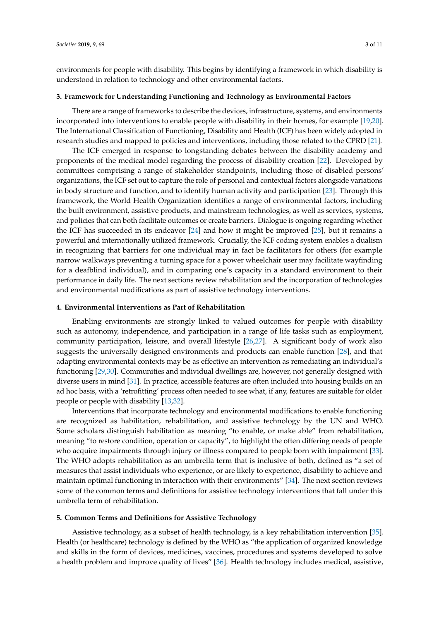environments for people with disability. This begins by identifying a framework in which disability is understood in relation to technology and other environmental factors.

## **3. Framework for Understanding Functioning and Technology as Environmental Factors**

There are a range of frameworks to describe the devices, infrastructure, systems, and environments incorporated into interventions to enable people with disability in their homes, for example [\[19,](#page-8-10)[20\]](#page-8-11). The International Classification of Functioning, Disability and Health (ICF) has been widely adopted in research studies and mapped to policies and interventions, including those related to the CPRD [\[21\]](#page-8-12).

The ICF emerged in response to longstanding debates between the disability academy and proponents of the medical model regarding the process of disability creation [\[22\]](#page-8-13). Developed by committees comprising a range of stakeholder standpoints, including those of disabled persons' organizations, the ICF set out to capture the role of personal and contextual factors alongside variations in body structure and function, and to identify human activity and participation [\[23\]](#page-8-14). Through this framework, the World Health Organization identifies a range of environmental factors, including the built environment, assistive products, and mainstream technologies, as well as services, systems, and policies that can both facilitate outcomes or create barriers. Dialogue is ongoing regarding whether the ICF has succeeded in its endeavor [\[24\]](#page-8-15) and how it might be improved [\[25\]](#page-8-16), but it remains a powerful and internationally utilized framework. Crucially, the ICF coding system enables a dualism in recognizing that barriers for one individual may in fact be facilitators for others (for example narrow walkways preventing a turning space for a power wheelchair user may facilitate wayfinding for a deafblind individual), and in comparing one's capacity in a standard environment to their performance in daily life. The next sections review rehabilitation and the incorporation of technologies and environmental modifications as part of assistive technology interventions.

#### **4. Environmental Interventions as Part of Rehabilitation**

Enabling environments are strongly linked to valued outcomes for people with disability such as autonomy, independence, and participation in a range of life tasks such as employment, community participation, leisure, and overall lifestyle [\[26,](#page-8-17)[27\]](#page-8-18). A significant body of work also suggests the universally designed environments and products can enable function [\[28\]](#page-8-19), and that adapting environmental contexts may be as effective an intervention as remediating an individual's functioning [\[29](#page-8-20)[,30\]](#page-9-0). Communities and individual dwellings are, however, not generally designed with diverse users in mind [\[31\]](#page-9-1). In practice, accessible features are often included into housing builds on an ad hoc basis, with a 'retrofitting' process often needed to see what, if any, features are suitable for older people or people with disability [\[13](#page-8-4)[,32\]](#page-9-2).

Interventions that incorporate technology and environmental modifications to enable functioning are recognized as habilitation, rehabilitation, and assistive technology by the UN and WHO. Some scholars distinguish habilitation as meaning "to enable, or make able" from rehabilitation, meaning "to restore condition, operation or capacity", to highlight the often differing needs of people who acquire impairments through injury or illness compared to people born with impairment [\[33\]](#page-9-3). The WHO adopts rehabilitation as an umbrella term that is inclusive of both, defined as "a set of measures that assist individuals who experience, or are likely to experience, disability to achieve and maintain optimal functioning in interaction with their environments" [\[34\]](#page-9-4). The next section reviews some of the common terms and definitions for assistive technology interventions that fall under this umbrella term of rehabilitation.

#### **5. Common Terms and Definitions for Assistive Technology**

Assistive technology, as a subset of health technology, is a key rehabilitation intervention [\[35\]](#page-9-5). Health (or healthcare) technology is defined by the WHO as "the application of organized knowledge and skills in the form of devices, medicines, vaccines, procedures and systems developed to solve a health problem and improve quality of lives" [\[36\]](#page-9-6). Health technology includes medical, assistive,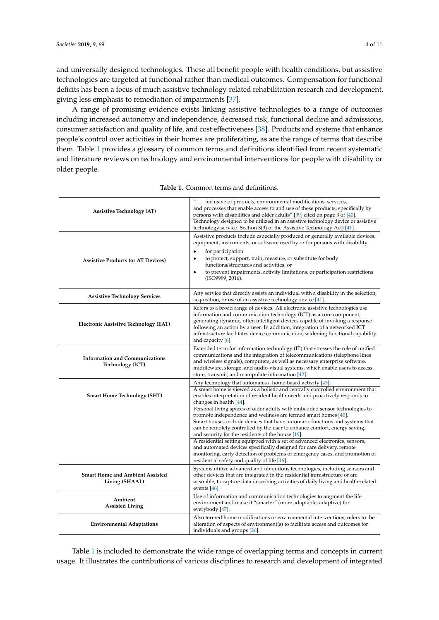and universally designed technologies. These all benefit people with health conditions, but assistive technologies are targeted at functional rather than medical outcomes. Compensation for functional deficits has been a focus of much assistive technology-related rehabilitation research and development, giving less emphasis to remediation of impairments [\[37\]](#page-9-7).

A range of promising evidence exists linking assistive technologies to a range of outcomes including increased autonomy and independence, decreased risk, functional decline and admissions, consumer satisfaction and quality of life, and cost effectiveness [\[38\]](#page-9-8). Products and systems that enhance people's control over activities in their homes are proliferating, as are the range of terms that describe them. Table [1](#page-3-0) provides a glossary of common terms and definitions identified from recent systematic and literature reviews on technology and environmental interventions for people with disability or older people.

<span id="page-3-0"></span>

| <b>Assistive Technology (AT)</b>                          | $^{\prime\prime} \ldots$ inclusive of products, environmental modifications, services,<br>and processes that enable access to and use of these products, specifically by<br>persons with disabilities and older adults" [39] cited on page 3 of [40].<br>Technology designed to be utilized in an assistive technology device or assistive<br>technology service. Section 3(3) of the Assistive Technology Act) [41].                 |
|-----------------------------------------------------------|---------------------------------------------------------------------------------------------------------------------------------------------------------------------------------------------------------------------------------------------------------------------------------------------------------------------------------------------------------------------------------------------------------------------------------------|
| <b>Assistive Products (or AT Devices)</b>                 | Assistive products include especially produced or generally available devices,<br>equipment, instruments, or software used by or for persons with disability<br>for participation<br>$\bullet$<br>to protect, support, train, measure, or substitute for body<br>$\bullet$<br>functions/structures and activities, or<br>to prevent impairments, activity limitations, or participation restrictions<br>$\bullet$<br>(ISO9999, 2016). |
| <b>Assistive Technology Services</b>                      | Any service that directly assists an individual with a disability in the selection,<br>acquisition, or use of an assistive technology device [41].                                                                                                                                                                                                                                                                                    |
| Electronic Assistive Technology (EAT)                     | Refers to a broad range of devices. All electronic assistive technologies use<br>information and communication technology (ICT) as a core component,<br>generating dynamic, often intelligent devices capable of invoking a response<br>following an action by a user. In addition, integration of a networked ICT<br>infrastructure facilitates device communication, widening functional capability<br>and capacity $[6]$ .         |
| <b>Information and Communications</b><br>Technology (ICT) | Extended term for information technology (IT) that stresses the role of unified<br>communications and the integration of telecommunications (telephone lines<br>and wireless signals), computers, as well as necessary enterprise software,<br>middleware, storage, and audio-visual systems, which enable users to access,<br>store, transmit, and manipulate information [42].                                                      |
| <b>Smart Home Technology (SHT)</b>                        | Any technology that automates a home-based activity [43].<br>A smart home is viewed as a holistic and centrally controlled environment that<br>enables interpretation of resident health needs and proactively responds to<br>changes in health [44].                                                                                                                                                                                 |
|                                                           | Personal living spaces of older adults with embedded sensor technologies to<br>promote independence and wellness are termed smart homes [45].<br>Smart houses include devices that have automatic functions and systems that<br>can be remotely controlled by the user to enhance comfort, energy saving,<br>and security for the residents of the house [19].                                                                        |
|                                                           | A residential setting equipped with a set of advanced electronics, sensors,<br>and automated devices specifically designed for care delivery, remote<br>monitoring, early detection of problems or emergency cases, and promotion of<br>residential safety and quality of life [46].                                                                                                                                                  |
| <b>Smart Home and Ambient Assisted</b><br>Living (SHAAL)  | Systems utilize advanced and ubiquitous technologies, including sensors and<br>other devices that are integrated in the residential infrastructure or are<br>wearable, to capture data describing activities of daily living and health-related<br>events $[46]$ .                                                                                                                                                                    |
| Ambient<br><b>Assisted Living</b>                         | Use of information and communication technologies to augment the life<br>environment and make it "smarter" (more adaptable, adaptive) for<br>everybody [47].                                                                                                                                                                                                                                                                          |
| <b>Environmental Adaptations</b>                          | Also termed home modifications or environmental interventions, refers to the<br>alteration of aspects of environment(s) to facilitate access and outcomes for<br>individuals and groups [26].                                                                                                                                                                                                                                         |

**Table 1.** Common terms and definitions.

Table [1](#page-3-0) is included to demonstrate the wide range of overlapping terms and concepts in current usage. It illustrates the contributions of various disciplines to research and development of integrated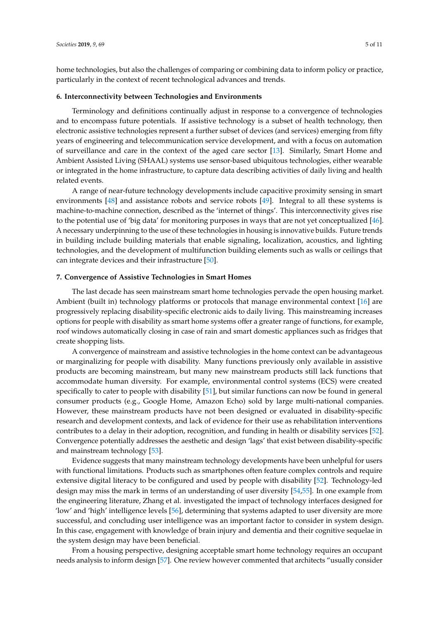home technologies, but also the challenges of comparing or combining data to inform policy or practice, particularly in the context of recent technological advances and trends.

# **6. Interconnectivity between Technologies and Environments**

Terminology and definitions continually adjust in response to a convergence of technologies and to encompass future potentials. If assistive technology is a subset of health technology, then electronic assistive technologies represent a further subset of devices (and services) emerging from fifty years of engineering and telecommunication service development, and with a focus on automation of surveillance and care in the context of the aged care sector [\[13\]](#page-8-4). Similarly, Smart Home and Ambient Assisted Living (SHAAL) systems use sensor-based ubiquitous technologies, either wearable or integrated in the home infrastructure, to capture data describing activities of daily living and health related events.

A range of near-future technology developments include capacitive proximity sensing in smart environments [\[48\]](#page-9-18) and assistance robots and service robots [\[49\]](#page-9-19). Integral to all these systems is machine-to-machine connection, described as the 'internet of things'. This interconnectivity gives rise to the potential use of 'big data' for monitoring purposes in ways that are not yet conceptualized [\[46\]](#page-9-16). A necessary underpinning to the use of these technologies in housing is innovative builds. Future trends in building include building materials that enable signaling, localization, acoustics, and lighting technologies, and the development of multifunction building elements such as walls or ceilings that can integrate devices and their infrastructure [\[50\]](#page-9-20).

## **7. Convergence of Assistive Technologies in Smart Homes**

The last decade has seen mainstream smart home technologies pervade the open housing market. Ambient (built in) technology platforms or protocols that manage environmental context [\[16\]](#page-8-7) are progressively replacing disability-specific electronic aids to daily living. This mainstreaming increases options for people with disability as smart home systems offer a greater range of functions, for example, roof windows automatically closing in case of rain and smart domestic appliances such as fridges that create shopping lists.

A convergence of mainstream and assistive technologies in the home context can be advantageous or marginalizing for people with disability. Many functions previously only available in assistive products are becoming mainstream, but many new mainstream products still lack functions that accommodate human diversity. For example, environmental control systems (ECS) were created specifically to cater to people with disability [\[51\]](#page-9-21), but similar functions can now be found in general consumer products (e.g., Google Home, Amazon Echo) sold by large multi-national companies. However, these mainstream products have not been designed or evaluated in disability-specific research and development contexts, and lack of evidence for their use as rehabilitation interventions contributes to a delay in their adoption, recognition, and funding in health or disability services [\[52\]](#page-9-22). Convergence potentially addresses the aesthetic and design 'lags' that exist between disability-specific and mainstream technology [\[53\]](#page-10-0).

Evidence suggests that many mainstream technology developments have been unhelpful for users with functional limitations. Products such as smartphones often feature complex controls and require extensive digital literacy to be configured and used by people with disability [\[52\]](#page-9-22). Technology-led design may miss the mark in terms of an understanding of user diversity [\[54,](#page-10-1)[55\]](#page-10-2). In one example from the engineering literature, Zhang et al. investigated the impact of technology interfaces designed for 'low' and 'high' intelligence levels [\[56\]](#page-10-3), determining that systems adapted to user diversity are more successful, and concluding user intelligence was an important factor to consider in system design. In this case, engagement with knowledge of brain injury and dementia and their cognitive sequelae in the system design may have been beneficial.

From a housing perspective, designing acceptable smart home technology requires an occupant needs analysis to inform design [\[57\]](#page-10-4). One review however commented that architects "usually consider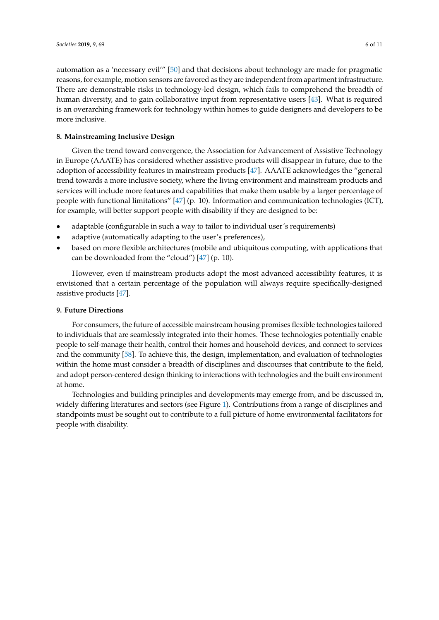automation as a 'necessary evil'" [\[50\]](#page-9-20) and that decisions about technology are made for pragmatic reasons, for example, motion sensors are favored as they are independent from apartment infrastructure. There are demonstrable risks in technology-led design, which fails to comprehend the breadth of human diversity, and to gain collaborative input from representative users [\[43\]](#page-9-13). What is required is an overarching framework for technology within homes to guide designers and developers to be more inclusive.

## **8. Mainstreaming Inclusive Design**

Given the trend toward convergence, the Association for Advancement of Assistive Technology in Europe (AAATE) has considered whether assistive products will disappear in future, due to the adoption of accessibility features in mainstream products [\[47\]](#page-9-17). AAATE acknowledges the "general trend towards a more inclusive society, where the living environment and mainstream products and services will include more features and capabilities that make them usable by a larger percentage of people with functional limitations" [\[47\]](#page-9-17) (p. 10). Information and communication technologies (ICT), for example, will better support people with disability if they are designed to be:

- adaptable (configurable in such a way to tailor to individual user's requirements)
- adaptive (automatically adapting to the user's preferences),
- based on more flexible architectures (mobile and ubiquitous computing, with applications that can be downloaded from the "cloud") [\[47\]](#page-9-17) (p. 10).

However, even if mainstream products adopt the most advanced accessibility features, it is envisioned that a certain percentage of the population will always require specifically-designed assistive products [\[47\]](#page-9-17).

## **9. Future Directions**

For consumers, the future of accessible mainstream housing promises flexible technologies tailored to individuals that are seamlessly integrated into their homes. These technologies potentially enable people to self-manage their health, control their homes and household devices, and connect to services and the community [\[58\]](#page-10-5). To achieve this, the design, implementation, and evaluation of technologies within the home must consider a breadth of disciplines and discourses that contribute to the field, and adopt person-centered design thinking to interactions with technologies and the built environment at home.

Technologies and building principles and developments may emerge from, and be discussed in, widely differing literatures and sectors (see Figure [1\)](#page-6-0). Contributions from a range of disciplines and standpoints must be sought out to contribute to a full picture of home environmental facilitators for people with disability.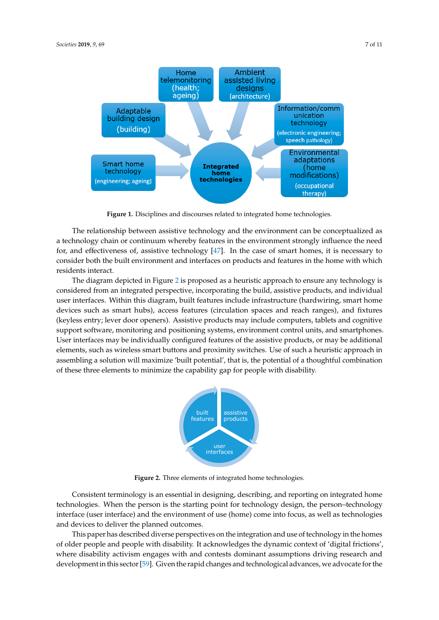Adaptable

(building)

<span id="page-6-0"></span>

**Integrated home technologies** Smart home technology (engineering; ageing) Environmental adaptations (home modifications) (occupational therapy)

Figure 1. Disciplines and discourses related to integrated home technologies.

technology chain or continuum where  $\epsilon$ The relationship between assistive technology and the environment can be conceptualized as a technology chain or continuum whereby features in the environment strongly influence the need for, and effectiveness of, assistive technology [47]. I[n th](#page-9-17)e case of smart homes, it is necessary to The diagram depicted in Figure 2 is proposed as a heuristic approach to ensure any technology  $\frac{1}{2}$ consider both the built environment and interfaces on products and features in the home with which individual user interfaces. Within this diagram, built features include infrastructure (hardwiring, hardwiring, hardwiring, hardwiring, hardwiring, hardwiring, hardwiring, hardwiring, hardwiring, hardwiring, hardwiring, ha residents interact. interact.

<span id="page-6-1"></span>The diagram depicted in Figure 2 is proposed as a heuristic approach to ensure any technology is considered from an integrated perspective, incorporating the build, assistive products, and individual computed support software, monitoring and positioning and positioning and positioning  $\alpha$ user interfaces. Within this diagram, built features include infrastructure (hardwiring, smart home devices such as smart hubs), access features (circulation spaces and reach ranges), and fixtures (keyless entry; lever door openers). Assistive products may include computers, tablets and cognitive support software, monitoring and positioning systems, environment control units, and smartphones User interfaces may be individually configured features of the assistive products, or may be additional elements, such as wireless smart buttons and proximity switches. Use of such a heuristic approach in assembling a solution will maximize 'built potential', that is, the potential of a thoughtful combination of these three elements to minimize the capability gap for people with disability. disability. y coo entry, lever door openers). Those products hay include comparers, takens and cognition



**Figure 22.** Three elements of integrated home technologies. **Figure 2.** Three elements of integrated home technologies.

Consistent terminology is an essential in designing, describing, and reporting on integrated Consistent terminology is an essential in designing, describing, and reporting on integrated home home technologies. When the person is the starting point for technology design, the person– technologies. When the person is the starting point for technology design, the person–technology  $\emph{interface}$  (user interface) and the environment of use (home) come into focus, as well as technologies and devices to deliver the planned outcomes.

This paper has described diverse perspectives on the integration and use of technology in the This paper has described diverse perspectives on the integration and use of technology in the homes of older people and people with disability. It acknowledges the dynamic context of 'digital frictions', where disability activism engages with and contests dominant assumptions driving research and development in this sector [\[59\]](#page-10-6). Given the rapid changes and technological advances, we advocate for the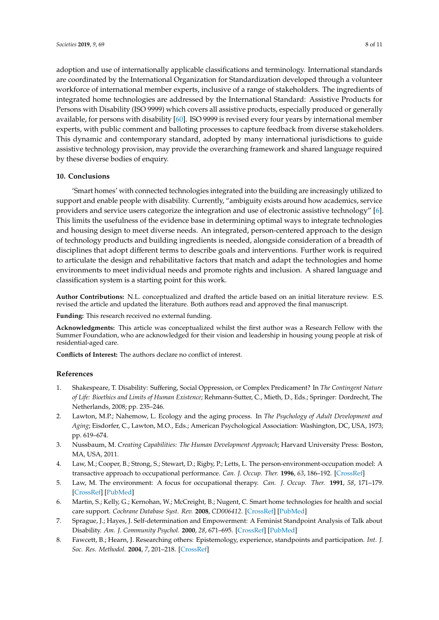adoption and use of internationally applicable classifications and terminology. International standards are coordinated by the International Organization for Standardization developed through a volunteer workforce of international member experts, inclusive of a range of stakeholders. The ingredients of integrated home technologies are addressed by the International Standard: Assistive Products for Persons with Disability (ISO 9999) which covers all assistive products, especially produced or generally available, for persons with disability [\[60\]](#page-10-7). ISO 9999 is revised every four years by international member experts, with public comment and balloting processes to capture feedback from diverse stakeholders. This dynamic and contemporary standard, adopted by many international jurisdictions to guide assistive technology provision, may provide the overarching framework and shared language required by these diverse bodies of enquiry.

## **10. Conclusions**

'Smart homes' with connected technologies integrated into the building are increasingly utilized to support and enable people with disability. Currently, "ambiguity exists around how academics, service providers and service users categorize the integration and use of electronic assistive technology" [\[6\]](#page-7-5). This limits the usefulness of the evidence base in determining optimal ways to integrate technologies and housing design to meet diverse needs. An integrated, person-centered approach to the design of technology products and building ingredients is needed, alongside consideration of a breadth of disciplines that adopt different terms to describe goals and interventions. Further work is required to articulate the design and rehabilitative factors that match and adapt the technologies and home environments to meet individual needs and promote rights and inclusion. A shared language and classification system is a starting point for this work.

**Author Contributions:** N.L. conceptualized and drafted the article based on an initial literature review. E.S. revised the article and updated the literature. Both authors read and approved the final manuscript.

**Funding:** This research received no external funding.

**Acknowledgments:** This article was conceptualized whilst the first author was a Research Fellow with the Summer Foundation, who are acknowledged for their vision and leadership in housing young people at risk of residential-aged care.

**Conflicts of Interest:** The authors declare no conflict of interest.

#### **References**

- <span id="page-7-0"></span>1. Shakespeare, T. Disability: Suffering, Social Oppression, or Complex Predicament? In *The Contingent Nature of Life: Bioethics and Limits of Human Existence*; Rehmann-Sutter, C., Mieth, D., Eds.; Springer: Dordrecht, The Netherlands, 2008; pp. 235–246.
- <span id="page-7-1"></span>2. Lawton, M.P.; Nahemow, L. Ecology and the aging process. In *The Psychology of Adult Development and Aging*; Eisdorfer, C., Lawton, M.O., Eds.; American Psychological Association: Washington, DC, USA, 1973; pp. 619–674.
- <span id="page-7-2"></span>3. Nussbaum, M. *Creating Capabilities: The Human Development Approach*; Harvard University Press: Boston, MA, USA, 2011.
- <span id="page-7-3"></span>4. Law, M.; Cooper, B.; Strong, S.; Stewart, D.; Rigby, P.; Letts, L. The person-environment-occupation model: A transactive approach to occupational performance. *Can. J. Occup. Ther.* **1996**, *63*, 186–192. [\[CrossRef\]](http://dx.doi.org/10.1177/000841749606300103)
- <span id="page-7-4"></span>5. Law, M. The environment: A focus for occupational therapy. *Can. J. Occup. Ther.* **1991**, *58*, 171–179. [\[CrossRef\]](http://dx.doi.org/10.1177/000841749105800404) [\[PubMed\]](http://www.ncbi.nlm.nih.gov/pubmed/10170862)
- <span id="page-7-5"></span>6. Martin, S.; Kelly, G.; Kernohan, W.; McCreight, B.; Nugent, C. Smart home technologies for health and social care support. *Cochrane Database Syst. Rev.* **2008**, *CD006412*. [\[CrossRef\]](http://dx.doi.org/10.1002/14651858.CD006412.pub2) [\[PubMed\]](http://www.ncbi.nlm.nih.gov/pubmed/18843715)
- <span id="page-7-6"></span>7. Sprague, J.; Hayes, J. Self-determination and Empowerment: A Feminist Standpoint Analysis of Talk about Disability. *Am. J. Community Psychol.* **2000**, *28*, 671–695. [\[CrossRef\]](http://dx.doi.org/10.1023/A:1005197704441) [\[PubMed\]](http://www.ncbi.nlm.nih.gov/pubmed/11043110)
- <span id="page-7-7"></span>8. Fawcett, B.; Hearn, J. Researching others: Epistemology, experience, standpoints and participation. *Int. J. Soc. Res. Methodol.* **2004**, *7*, 201–218. [\[CrossRef\]](http://dx.doi.org/10.1080/13645570210163989)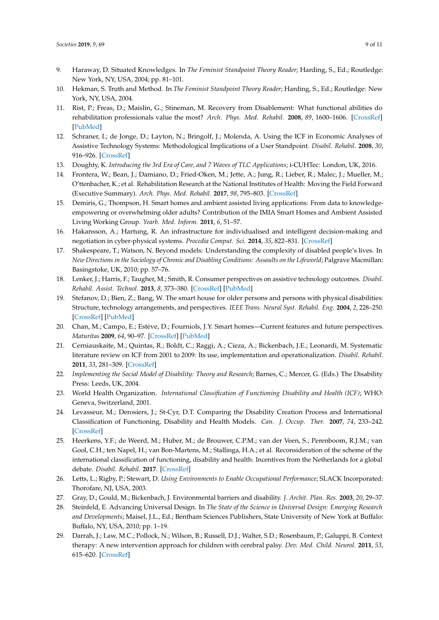- <span id="page-8-0"></span>9. Haraway, D. Situated Knowledges. In *The Feminist Standpoint Theory Reader*; Harding, S., Ed.; Routledge: New York, NY, USA, 2004; pp. 81–101.
- <span id="page-8-1"></span>10. Hekman, S. Truth and Method. In *The Feminist Standpoint Theory Reader*; Harding, S., Ed.; Routledge: New York, NY, USA, 2004.
- <span id="page-8-2"></span>11. Rist, P.; Freas, D.; Maislin, G.; Stineman, M. Recovery from Disablement: What functional abilities do rehabilitation professionals value the most? *Arch. Phys. Med. Rehabil.* **2008**, *89*, 1600–1606. [\[CrossRef\]](http://dx.doi.org/10.1016/j.apmr.2007.11.060) [\[PubMed\]](http://www.ncbi.nlm.nih.gov/pubmed/18597736)
- <span id="page-8-3"></span>12. Schraner, I.; de Jonge, D.; Layton, N.; Bringolf, J.; Molenda, A. Using the ICF in Economic Analyses of Assistive Technology Systems: Methodological Implications of a User Standpoint. *Disabil. Rehabil.* **2008**, *30*, 916–926. [\[CrossRef\]](http://dx.doi.org/10.1080/09638280701800293)
- <span id="page-8-4"></span>13. Doughty, K. *Introducing the 3rd Era of Care, and 7 Waves of TLC Applications*; i-CUHTec: London, UK, 2016.
- <span id="page-8-5"></span>14. Frontera, W.; Bean, J.; Damiano, D.; Fried-Oken, M.; Jette, A.; Jung, R.; Lieber, R.; Malec, J.; Mueller, M.; O'ttenbacher, K.; et al. Rehabilitation Research at the National Institutes of Health: Moving the Field Forward (Executive Summary). *Arch. Phys. Med. Rehabil.* **2017**, *98*, 795–803. [\[CrossRef\]](http://dx.doi.org/10.1016/j.apmr.2017.02.001)
- <span id="page-8-6"></span>15. Demiris, G.; Thompson, H. Smart homes and ambient assisted living applications: From data to knowledgeempowering or overwhelming older adults? Contribution of the IMIA Smart Homes and Ambient Assisted Living Working Group. *Yearb. Med. Inform.* **2011**, *6*, 51–57.
- <span id="page-8-7"></span>16. Hakansson, A.; Hartung, R. An infrastructure for individualised and intelligent decision-making and negotiation in cyber-physical systems. *Procedia Comput. Sci.* **2014**, *35*, 822–831. [\[CrossRef\]](http://dx.doi.org/10.1016/j.procs.2014.08.248)
- <span id="page-8-8"></span>17. Shakespeare, T.; Watson, N. Beyond models: Understanding the complexity of disabled people's lives. In *New Directions in the Sociology of Chronic and Disabling Conditions: Assaults on the Lifeworld*; Palgrave Macmillan: Basingstoke, UK, 2010; pp. 57–76.
- <span id="page-8-9"></span>18. Lenker, J.; Harris, F.; Taugher, M.; Smith, R. Consumer perspectives on assistive technology outcomes. *Disabil. Rehabil. Assist. Technol.* **2013**, *8*, 373–380. [\[CrossRef\]](http://dx.doi.org/10.3109/17483107.2012.749429) [\[PubMed\]](http://www.ncbi.nlm.nih.gov/pubmed/23350880)
- <span id="page-8-10"></span>19. Stefanov, D.; Bien, Z.; Bang, W. The smart house for older persons and persons with physical disabilities: Structure, technology arrangements, and perspectives. *IEEE Trans. Neural Syst. Rehabil. Eng.* **2004**, *2*, 228–250. [\[CrossRef\]](http://dx.doi.org/10.1109/TNSRE.2004.828423) [\[PubMed\]](http://www.ncbi.nlm.nih.gov/pubmed/15218937)
- <span id="page-8-11"></span>20. Chan, M.; Campo, E.; Estève, D.; Fourniols, J.Y. Smart homes—Current features and future perspectives. *Maturitas* **2009**, *64*, 90–97. [\[CrossRef\]](http://dx.doi.org/10.1016/j.maturitas.2009.07.014) [\[PubMed\]](http://www.ncbi.nlm.nih.gov/pubmed/19729255)
- <span id="page-8-12"></span>21. Cerniauskaite, M.; Quintas, R.; Boldt, C.; Raggi, A.; Cieza, A.; Bickenbach, J.E.; Leonardi, M. Systematic literature review on ICF from 2001 to 2009: Its use, implementation and operationalization. *Disabil. Rehabil.* **2011**, *33*, 281–309. [\[CrossRef\]](http://dx.doi.org/10.3109/09638288.2010.529235)
- <span id="page-8-13"></span>22. *Implementing the Social Model of Disability: Theory and Research*; Barnes, C.; Mercer, G. (Eds.) The Disability Press: Leeds, UK, 2004.
- <span id="page-8-14"></span>23. World Health Organization. *International Classification of Functioning Disability and Health (ICF)*; WHO: Geneva, Switzerland, 2001.
- <span id="page-8-15"></span>24. Levasseur, M.; Derosiers, J.; St-Cyr, D.T. Comparing the Disability Creation Process and International Classification of Functioning, Disability and Health Models. *Can. J. Occup. Ther.* **2007**, *74*, 233–242. [\[CrossRef\]](http://dx.doi.org/10.1177/000841740707405S02)
- <span id="page-8-16"></span>25. Heerkens, Y.F.; de Weerd, M.; Huber, M.; de Brouwer, C.P.M.; van der Veen, S.; Perenboom, R.J.M.; van Gool, C.H.; ten Napel, H.; van Bon-Martens, M.; Stallinga, H.A.; et al. Reconsideration of the scheme of the international classification of functioning, disability and health: Incentives from the Netherlands for a global debate. *Disabil. Rehabil.* **2017**. [\[CrossRef\]](http://dx.doi.org/10.1080/09638288.2016.1277404)
- <span id="page-8-17"></span>26. Letts, L.; Rigby, P.; Stewart, D. *Using Environments to Enable Occupational Performance*; SLACK Incorporated: Thorofare, NJ, USA, 2003.
- <span id="page-8-18"></span>27. Gray, D.; Gould, M.; Bickenbach, J. Environmental barriers and disability. *J. Archit. Plan. Res.* **2003**, *20*, 29–37.
- <span id="page-8-19"></span>28. Steinfeld, E. Advancing Universal Design. In *The State of the Science in Universal Design: Emerging Research and Developments*; Maisel, J.L., Ed.; Bentham Sciences Publishers, State University of New York at Buffalo: Buffalo, NY, USA, 2010; pp. 1–19.
- <span id="page-8-20"></span>29. Darrah, J.; Law, M.C.; Pollock, N.; Wilson, B.; Russell, D.J.; Walter, S.D.; Rosenbaum, P.; Galuppi, B. Context therapy: A new intervention approach for children with cerebral palsy. *Dev. Med. Child. Neurol.* **2011**, *53*, 615–620. [\[CrossRef\]](http://dx.doi.org/10.1111/j.1469-8749.2011.03959.x)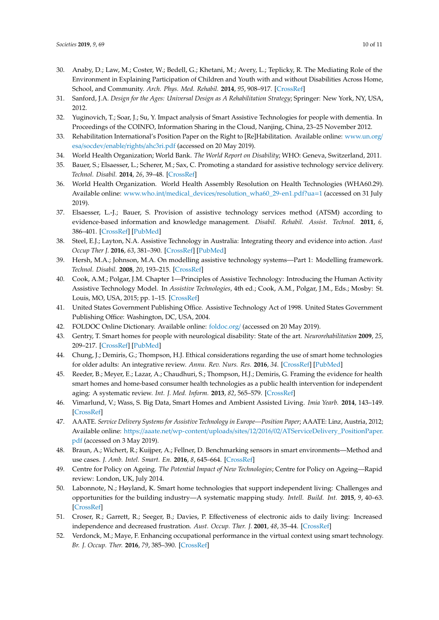- <span id="page-9-0"></span>30. Anaby, D.; Law, M.; Coster, W.; Bedell, G.; Khetani, M.; Avery, L.; Teplicky, R. The Mediating Role of the Environment in Explaining Participation of Children and Youth with and without Disabilities Across Home, School, and Community. *Arch. Phys. Med. Rehabil.* **2014**, *95*, 908–917. [\[CrossRef\]](http://dx.doi.org/10.1016/j.apmr.2014.01.005)
- <span id="page-9-1"></span>31. Sanford, J.A. *Design for the Ages: Universal Design as A Rehabilitation Strategy*; Springer: New York, NY, USA, 2012.
- <span id="page-9-2"></span>32. Yuginovich, T.; Soar, J.; Su, Y. Impact analysis of Smart Assistive Technologies for people with dementia. In Proceedings of the COINFO, Information Sharing in the Cloud, Nanjing, China, 23–25 November 2012.
- <span id="page-9-3"></span>33. Rehabilitation International's Position Paper on the Right to [Re]Habilitation. Available online: [www.un.org](www.un.org/esa/socdev/enable/rights/ahc3ri.pdf)/ esa/socdev/enable/rights/[ahc3ri.pdf](www.un.org/esa/socdev/enable/rights/ahc3ri.pdf) (accessed on 20 May 2019).
- <span id="page-9-4"></span>34. World Health Organization; World Bank. *The World Report on Disability*; WHO: Geneva, Switzerland, 2011.
- <span id="page-9-5"></span>35. Bauer, S.; Elsaesser, L.; Scherer, M.; Sax, C. Promoting a standard for assistive technology service delivery. *Technol. Disabil.* **2014**, *26*, 39–48. [\[CrossRef\]](http://dx.doi.org/10.3233/TAD-140403)
- <span id="page-9-6"></span>36. World Health Organization. World Health Assembly Resolution on Health Technologies (WHA60.29). Available online: www.who.int/medical\_devices/[resolution\\_wha60\\_29-en1.pdf?ua](www.who.int/medical_devices/resolution_wha60_29-en1.pdf?ua=1)=1 (accessed on 31 July 2019).
- <span id="page-9-7"></span>37. Elsaesser, L.-J.; Bauer, S. Provision of assistive technology services method (ATSM) according to evidence-based information and knowledge management. *Disabil. Rehabil. Assist. Technol.* **2011**, *6*, 386–401. [\[CrossRef\]](http://dx.doi.org/10.3109/17483107.2011.557763) [\[PubMed\]](http://www.ncbi.nlm.nih.gov/pubmed/21345000)
- <span id="page-9-8"></span>38. Steel, E.J.; Layton, N.A. Assistive Technology in Australia: Integrating theory and evidence into action. *Aust Occup Ther J.* **2016**, *63*, 381–390. [\[CrossRef\]](http://dx.doi.org/10.1111/1440-1630.12293) [\[PubMed\]](http://www.ncbi.nlm.nih.gov/pubmed/27086661)
- <span id="page-9-9"></span>39. Hersh, M.A.; Johnson, M.A. On modelling assistive technology systems—Part 1: Modelling framework. *Technol. Disabil.* **2008**, *20*, 193–215. [\[CrossRef\]](http://dx.doi.org/10.3233/TAD-2008-20303)
- <span id="page-9-10"></span>40. Cook, A.M.; Polgar, J.M. Chapter 1—Principles of Assistive Technology: Introducing the Human Activity Assistive Technology Model. In *Assistive Technologies*, 4th ed.; Cook, A.M., Polgar, J.M., Eds.; Mosby: St. Louis, MO, USA, 2015; pp. 1–15. [\[CrossRef\]](http://dx.doi.org/10.1016/B978-0-323-09631-7.00001-6pp)
- <span id="page-9-11"></span>41. United States Government Publishing Office. Assistive Technology Act of 1998. United States Government Publishing Office: Washington, DC, USA, 2004.
- <span id="page-9-12"></span>42. FOLDOC Online Dictionary. Available online: [foldoc.org](foldoc.org/)/ (accessed on 20 May 2019).
- <span id="page-9-13"></span>43. Gentry, T. Smart homes for people with neurological disability: State of the art. *Neurorehabilitation* **2009**, *25*, 209–217. [\[CrossRef\]](http://dx.doi.org/10.3233/NRE-2009-0517) [\[PubMed\]](http://www.ncbi.nlm.nih.gov/pubmed/19893189)
- <span id="page-9-14"></span>44. Chung, J.; Demiris, G.; Thompson, H.J. Ethical considerations regarding the use of smart home technologies for older adults: An integrative review. *Annu. Rev. Nurs. Res.* **2016**, *34*. [\[CrossRef\]](http://dx.doi.org/10.1891/0739-6686.34.155) [\[PubMed\]](http://www.ncbi.nlm.nih.gov/pubmed/26673381)
- <span id="page-9-15"></span>45. Reeder, B.; Meyer, E.; Lazar, A.; Chaudhuri, S.; Thompson, H.J.; Demiris, G. Framing the evidence for health smart homes and home-based consumer health technologies as a public health intervention for independent aging: A systematic review. *Int. J. Med. Inform.* **2013**, *82*, 565–579. [\[CrossRef\]](http://dx.doi.org/10.1016/j.ijmedinf.2013.03.007)
- <span id="page-9-16"></span>46. Vimarlund, V.; Wass, S. Big Data, Smart Homes and Ambient Assisted Living. *Imia Yearb.* **2014**, 143–149. [\[CrossRef\]](http://dx.doi.org/10.15265/IY-2014-0011)
- <span id="page-9-17"></span>47. AAATE. *Service Delivery Systems for Assistive Technology in Europe—Position Paper*; AAATE: Linz, Austria, 2012; Available online: https://aaate.net/wp-content/uploads/sites/12/2016/02/[ATServiceDelivery\\_PositionPaper.](https://aaate.net/wp-content/uploads/sites/12/2016/02/ATServiceDelivery_PositionPaper.pdf) [pdf](https://aaate.net/wp-content/uploads/sites/12/2016/02/ATServiceDelivery_PositionPaper.pdf) (accessed on 3 May 2019).
- <span id="page-9-18"></span>48. Braun, A.; Wichert, R.; Kuijper, A.; Fellner, D. Benchmarking sensors in smart environments—Method and use cases. *J. Amb. Intel. Smart. En.* **2016**, *8*, 645–664. [\[CrossRef\]](http://dx.doi.org/10.3233/AIS-160402)
- <span id="page-9-19"></span>49. Centre for Policy on Ageing. *The Potential Impact of New Technologies*; Centre for Policy on Ageing—Rapid review: London, UK, July 2014.
- <span id="page-9-20"></span>50. Labonnote, N.; Høyland, K. Smart home technologies that support independent living: Challenges and opportunities for the building industry—A systematic mapping study. *Intell. Build. Int.* **2015**, *9*, 40–63. [\[CrossRef\]](http://dx.doi.org/10.1080/17508975.2015.1048767)
- <span id="page-9-21"></span>51. Croser, R.; Garrett, R.; Seeger, B.; Davies, P. Effectiveness of electronic aids to daily living: Increased independence and decreased frustration. *Aust. Occup. Ther. J.* **2001**, *48*, 35–44. [\[CrossRef\]](http://dx.doi.org/10.1046/j.1440-1630.2001.00236.x)
- <span id="page-9-22"></span>52. Verdonck, M.; Maye, F. Enhancing occupational performance in the virtual context using smart technology. *Br. J. Occup. Ther.* **2016**, *79*, 385–390. [\[CrossRef\]](http://dx.doi.org/10.1177/0308022615591172)